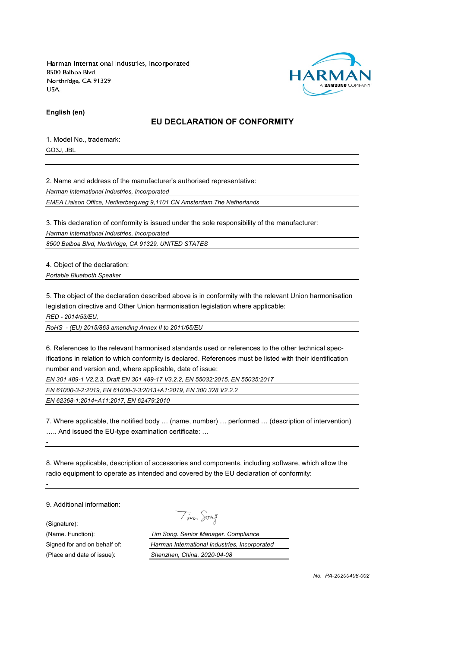

**English (en)**

### **EU DECLARATION OF CONFORMITY**

1. Model No., trademark: GO3J, JBL

2. Name and address of the manufacturer's authorised representative:

*Harman International Industries, Incorporated*

*EMEA Liaison Office, Herikerbergweg 9,1101 CN Amsterdam,The Netherlands*

3. This declaration of conformity is issued under the sole responsibility of the manufacturer:

*Harman International Industries, Incorporated*

*8500 Balboa Blvd, Northridge, CA 91329, UNITED STATES*

4. Object of the declaration:

*Portable Bluetooth Speaker*

5. The object of the declaration described above is in conformity with the relevant Union harmonisation legislation directive and Other Union harmonisation legislation where applicable:

*RED - 2014/53/EU,*

*RoHS - (EU) 2015/863 amending Annex II to 2011/65/EU*

6. References to the relevant harmonised standards used or references to the other technical specifications in relation to which conformity is declared. References must be listed with their identification number and version and, where applicable, date of issue:

*EN 301 489-1 V2.2.3, Draft EN 301 489-17 V3.2.2, EN 55032:2015, EN 55035:2017*

*EN 61000-3-2:2019, EN 61000-3-3:2013+A1:2019, EN 300 328 V2.2.2*

*EN 62368-1:2014+A11:2017, EN 62479:2010*

7. Where applicable, the notified body … (name, number) … performed … (description of intervention) ….. And issued the EU-type examination certificate: …

8. Where applicable, description of accessories and components, including software, which allow the radio equipment to operate as intended and covered by the EU declaration of conformity:

9. Additional information:

*-*

*-*

(Signature):

Tim Song

(Name. Function): *Tim Song. Senior Manager. Compliance* Signed for and on behalf of: *Harman International Industries, Incorporated* (Place and date of issue): *Shenzhen, China. 2020-04-08*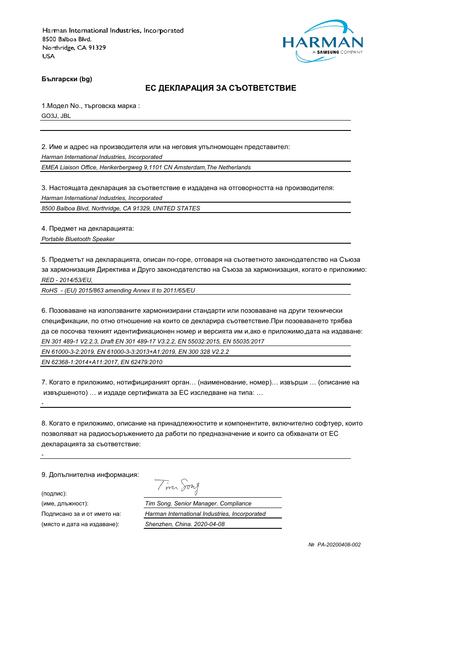

**Български (bg)**

#### **ЕС ДЕКЛАРАЦИЯ ЗА СЪОТВЕТСТВИЕ**

1.Модел No., търговска марка : GO3J, JBL

2. Име и адрес на производителя или на неговия упълномощен представител:

*Harman International Industries, Incorporated*

*EMEA Liaison Office, Herikerbergweg 9,1101 CN Amsterdam,The Netherlands*

3. Настоящата декларация за съответствие е издадена на отговорността на производителя: *Harman International Industries, Incorporated*

*8500 Balboa Blvd, Northridge, CA 91329, UNITED STATES*

4. Предмет на декларацията:

*Portable Bluetooth Speaker*

5. Предметът на декларацията, описан по-горе, отговаря на съответното законодателство на Съюза за хармонизация Директива и Друго законодателство на Съюза за хармонизация, когато е приложимо: *RED - 2014/53/EU,*

*RoHS - (EU) 2015/863 amending Annex II to 2011/65/EU*

6. Позоваване на използваните хармонизирани стандарти или позоваване на други технически спецификации, по отно отношение на които се декларира съответствие.При позоваването трябва да се посочва техният идентификационен номер и версията им и,ако е приложимо,дата на издаване: *EN 301 489-1 V2.2.3, Draft EN 301 489-17 V3.2.2, EN 55032:2015, EN 55035:2017*

*EN 61000-3-2:2019, EN 61000-3-3:2013+A1:2019, EN 300 328 V2.2.2*

*EN 62368-1:2014+A11:2017, EN 62479:2010*

7. Когато е приложимо, нотифицираният орган… (наименование, номер)… извърши … (описание на извършеното) … и издаде сертификата за ЕС изследване на типа: …

8. Когато е приложимо, описание на принадлежностите и компонентите, включително софтуер, които позволяват на радиосъоръжението да работи по предназначение и които са обхванати от ЕС декларацията за съответствие:

9. Допълнителна информация:

(подпис):

*-*

*-*

(място и дата на издаване): *Shenzhen, China. 2020-04-08*

Tim Song

(име, длъжност): *Tim Song. Senior Manager. Compliance* Подписано за и от името на: *Harman International Industries, Incorporated*

 *№ PA-20200408-002*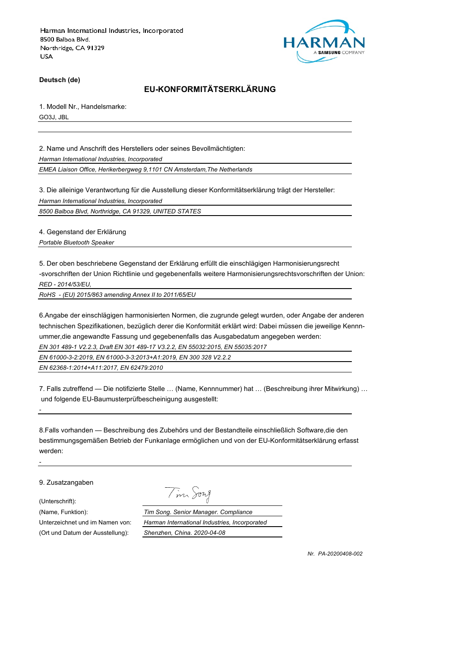

**Deutsch (de)**

# **EU-KONFORMITÄTSERKLÄRUNG**

1. Modell Nr., Handelsmarke:

GO3J, JBL

2. Name und Anschrift des Herstellers oder seines Bevollmächtigten:

*Harman International Industries, Incorporated*

*EMEA Liaison Office, Herikerbergweg 9,1101 CN Amsterdam,The Netherlands*

3. Die alleinige Verantwortung für die Ausstellung dieser Konformitätserklärung trägt der Hersteller:

*Harman International Industries, Incorporated*

*8500 Balboa Blvd, Northridge, CA 91329, UNITED STATES*

4. Gegenstand der Erklärung

*Portable Bluetooth Speaker*

5. Der oben beschriebene Gegenstand der Erklärung erfüllt die einschlägigen Harmonisierungsrecht -svorschriften der Union Richtlinie und gegebenenfalls weitere Harmonisierungsrechtsvorschriften der Union: *RED - 2014/53/EU,*

*RoHS - (EU) 2015/863 amending Annex II to 2011/65/EU*

6.Angabe der einschlägigen harmonisierten Normen, die zugrunde gelegt wurden, oder Angabe der anderen technischen Spezifikationen, bezüglich derer die Konformität erklärt wird: Dabei müssen die jeweilige Kennnummer,die angewandte Fassung und gegebenenfalls das Ausgabedatum angegeben werden:

*EN 301 489-1 V2.2.3, Draft EN 301 489-17 V3.2.2, EN 55032:2015, EN 55035:2017*

*EN 61000-3-2:2019, EN 61000-3-3:2013+A1:2019, EN 300 328 V2.2.2*

*EN 62368-1:2014+A11:2017, EN 62479:2010*

7. Falls zutreffend — Die notifizierte Stelle … (Name, Kennnummer) hat … (Beschreibung ihrer Mitwirkung) … und folgende EU-Baumusterprüfbescheinigung ausgestellt:

8.Falls vorhanden — Beschreibung des Zubehörs und der Bestandteile einschließlich Software,die den bestimmungsgemäßen Betrieb der Funkanlage ermöglichen und von der EU-Konformitätserklärung erfasst werden:

9. Zusatzangaben

(Unterschrift):

*-*

*-*

Tim Song

(Name, Funktion): *Tim Song. Senior Manager. Compliance* Unterzeichnet und im Namen von: *Harman International Industries, Incorporated* (Ort und Datum der Ausstellung): *Shenzhen, China. 2020-04-08*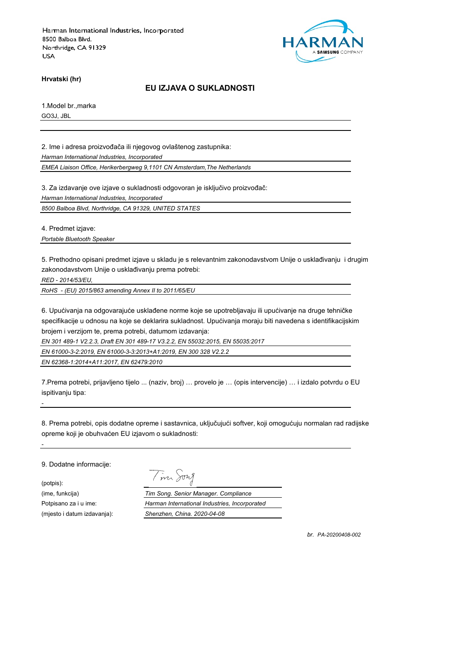

**Hrvatski (hr)**

#### **EU IZJAVA O SUKLADNOSTI**

1.Model br.,marka GO3J, JBL

2. Ime i adresa proizvođača ili njegovog ovlaštenog zastupnika:

*Harman International Industries, Incorporated*

*EMEA Liaison Office, Herikerbergweg 9,1101 CN Amsterdam,The Netherlands*

3. Za izdavanje ove izjave o sukladnosti odgovoran je isključivo proizvođač:

*Harman International Industries, Incorporated*

*8500 Balboa Blvd, Northridge, CA 91329, UNITED STATES*

4. Predmet izjave:

*Portable Bluetooth Speaker*

5. Prethodno opisani predmet izjave u skladu je s relevantnim zakonodavstvom Unije o usklađivanju i drugim zakonodavstvom Unije o usklađivanju prema potrebi:

*RED - 2014/53/EU,*

*RoHS - (EU) 2015/863 amending Annex II to 2011/65/EU*

6. Upućivanja na odgovarajuće usklađene norme koje se upotrebljavaju ili upućivanje na druge tehničke specifikacije u odnosu na koje se deklarira sukladnost. Upućivanja moraju biti navedena s identifikacijskim brojem i verzijom te, prema potrebi, datumom izdavanja:

*EN 301 489-1 V2.2.3, Draft EN 301 489-17 V3.2.2, EN 55032:2015, EN 55035:2017*

*EN 61000-3-2:2019, EN 61000-3-3:2013+A1:2019, EN 300 328 V2.2.2*

*EN 62368-1:2014+A11:2017, EN 62479:2010*

7.Prema potrebi, prijavljeno tijelo ... (naziv, broj) … provelo je … (opis intervencije) … i izdalo potvrdu o EU ispitivanju tipa:

8. Prema potrebi, opis dodatne opreme i sastavnica, uključujući softver, koji omogućuju normalan rad radijske opreme koji je obuhvaćen EU izjavom o sukladnosti:

9. Dodatne informacije:

*-*

*-*

(potpis):

Tim Song

(ime, funkcija) *Tim Song. Senior Manager. Compliance* Potpisano za i u ime: *Harman International Industries, Incorporated* (mjesto i datum izdavanja): *Shenzhen, China. 2020-04-08*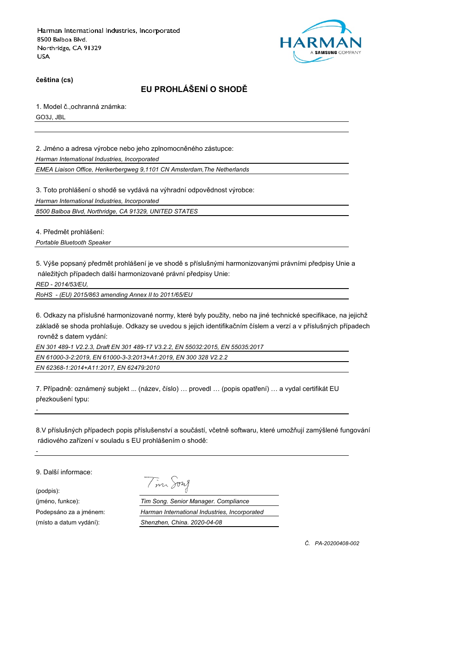

**čeština (cs)**

# **EU PROHLÁŠENÍ O SHODĚ**

1. Model č.,ochranná známka:

GO3J, JBL

2. Jméno a adresa výrobce nebo jeho zplnomocněného zástupce:

*Harman International Industries, Incorporated*

*EMEA Liaison Office, Herikerbergweg 9,1101 CN Amsterdam,The Netherlands*

3. Toto prohlášení o shodě se vydává na výhradní odpovědnost výrobce:

*Harman International Industries, Incorporated*

*8500 Balboa Blvd, Northridge, CA 91329, UNITED STATES*

4. Předmět prohlášení:

*Portable Bluetooth Speaker*

5. Výše popsaný předmět prohlášení je ve shodě s příslušnými harmonizovanými právními předpisy Unie a náležitých případech další harmonizované právní předpisy Unie:

*RED - 2014/53/EU,*

*RoHS - (EU) 2015/863 amending Annex II to 2011/65/EU*

6. Odkazy na příslušné harmonizované normy, které byly použity, nebo na jiné technické specifikace, na jejichž základě se shoda prohlašuje. Odkazy se uvedou s jejich identifikačním číslem a verzí a v příslušných případech rovněž s datem vydání:

*EN 301 489-1 V2.2.3, Draft EN 301 489-17 V3.2.2, EN 55032:2015, EN 55035:2017*

*EN 61000-3-2:2019, EN 61000-3-3:2013+A1:2019, EN 300 328 V2.2.2*

*EN 62368-1:2014+A11:2017, EN 62479:2010*

7. Případně: oznámený subjekt ... (název, číslo) … provedl … (popis opatření) … a vydal certifikát EU přezkoušení typu:

8.V příslušných případech popis příslušenství a součástí, včetně softwaru, které umožňují zamýšlené fungování rádiového zařízení v souladu s EU prohlášením o shodě:

9. Další informace:

*-*

*-*

(podpis):

Tim Song

(jméno, funkce): *Tim Song. Senior Manager. Compliance* Podepsáno za a jménem: *Harman International Industries, Incorporated* (místo a datum vydání): *Shenzhen, China. 2020-04-08*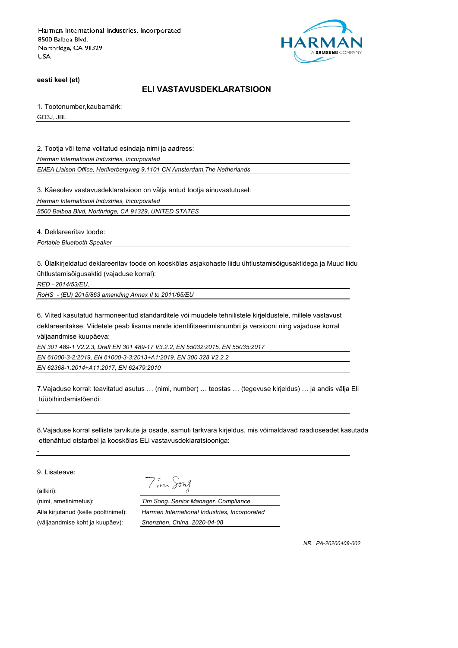

**eesti keel (et)**

### **ELI VASTAVUSDEKLARATSIOON**

1. Tootenumber,kaubamärk:

GO3J, JBL

2. Tootja või tema volitatud esindaja nimi ja aadress:

*Harman International Industries, Incorporated*

*EMEA Liaison Office, Herikerbergweg 9,1101 CN Amsterdam,The Netherlands*

3. Käesolev vastavusdeklaratsioon on välja antud tootja ainuvastutusel:

*Harman International Industries, Incorporated*

*8500 Balboa Blvd, Northridge, CA 91329, UNITED STATES*

4. Deklareeritav toode:

*Portable Bluetooth Speaker*

5. Ülalkirjeldatud deklareeritav toode on kooskõlas asjakohaste liidu ühtlustamisõigusaktidega ja Muud liidu ühtlustamisõigusaktid (vajaduse korral):

*RED - 2014/53/EU,*

*RoHS - (EU) 2015/863 amending Annex II to 2011/65/EU*

6. Viited kasutatud harmoneeritud standarditele või muudele tehnilistele kirjeldustele, millele vastavust deklareeritakse. Viidetele peab lisama nende identifitseerimisnumbri ja versiooni ning vajaduse korral väljaandmise kuupäeva:

*EN 301 489-1 V2.2.3, Draft EN 301 489-17 V3.2.2, EN 55032:2015, EN 55035:2017*

*EN 61000-3-2:2019, EN 61000-3-3:2013+A1:2019, EN 300 328 V2.2.2*

*EN 62368-1:2014+A11:2017, EN 62479:2010*

7.Vajaduse korral: teavitatud asutus … (nimi, number) … teostas … (tegevuse kirjeldus) … ja andis välja Eli tüübihindamistõendi:

8.Vajaduse korral selliste tarvikute ja osade, samuti tarkvara kirjeldus, mis võimaldavad raadioseadet kasutada ettenähtud otstarbel ja kooskõlas ELi vastavusdeklaratsiooniga:

9. Lisateave:

(allkiri):

*-*

*-*

Tim Song

(nimi, ametinimetus): *Tim Song. Senior Manager. Compliance* Alla kirjutanud (kelle poolt/nimel): *Harman International Industries, Incorporated* (väljaandmise koht ja kuupäev): *Shenzhen, China. 2020-04-08*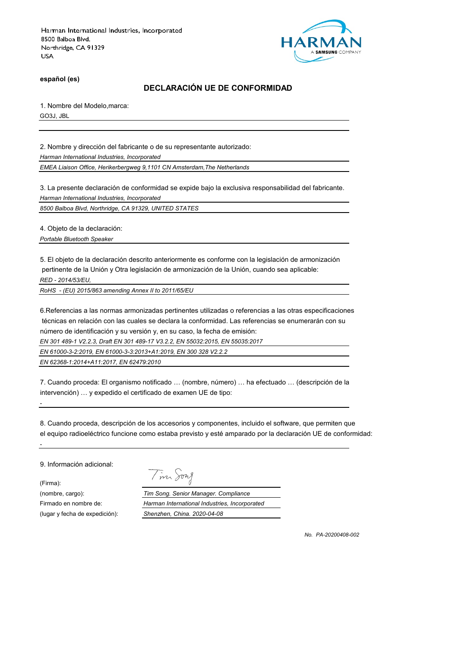

**español (es)**

## **DECLARACIÓN UE DE CONFORMIDAD**

1. Nombre del Modelo,marca: GO3J, JBL

2. Nombre y dirección del fabricante o de su representante autorizado:

*Harman International Industries, Incorporated*

*EMEA Liaison Office, Herikerbergweg 9,1101 CN Amsterdam,The Netherlands*

3. La presente declaración de conformidad se expide bajo la exclusiva responsabilidad del fabricante. *Harman International Industries, Incorporated*

*8500 Balboa Blvd, Northridge, CA 91329, UNITED STATES*

4. Objeto de la declaración:

*Portable Bluetooth Speaker*

5. El objeto de la declaración descrito anteriormente es conforme con la legislación de armonización pertinente de la Unión y Otra legislación de armonización de la Unión, cuando sea aplicable: *RED - 2014/53/EU,*

*RoHS - (EU) 2015/863 amending Annex II to 2011/65/EU*

6.Referencias a las normas armonizadas pertinentes utilizadas o referencias a las otras especificaciones técnicas en relación con las cuales se declara la conformidad. Las referencias se enumerarán con su número de identificación y su versión y, en su caso, la fecha de emisión:

*EN 301 489-1 V2.2.3, Draft EN 301 489-17 V3.2.2, EN 55032:2015, EN 55035:2017*

*EN 61000-3-2:2019, EN 61000-3-3:2013+A1:2019, EN 300 328 V2.2.2*

*EN 62368-1:2014+A11:2017, EN 62479:2010*

7. Cuando proceda: El organismo notificado … (nombre, número) … ha efectuado … (descripción de la intervención) … y expedido el certificado de examen UE de tipo:

8. Cuando proceda, descripción de los accesorios y componentes, incluido el software, que permiten que el equipo radioeléctrico funcione como estaba previsto y esté amparado por la declaración UE de conformidad:

9. Información adicional:

*-*

*-*

(Firma):

(in Jong

(nombre, cargo): *Tim Song. Senior Manager. Compliance* Firmado en nombre de: *Harman International Industries, Incorporated* (lugar y fecha de expedición): *Shenzhen, China. 2020-04-08*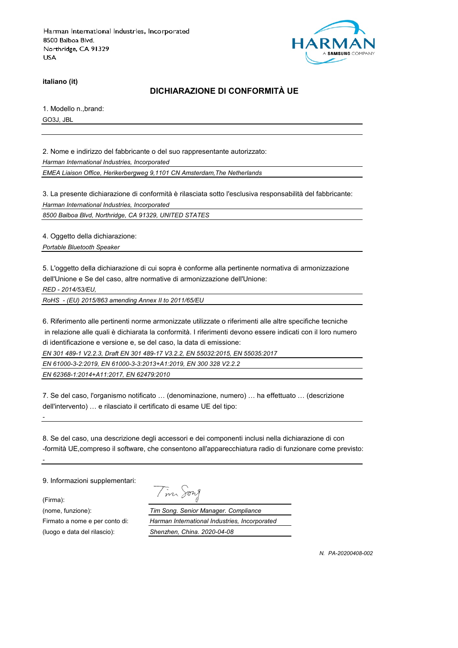

**italiano (it)**

## **DICHIARAZIONE DI CONFORMITÀ UE**

1. Modello n.,brand:

GO3J, JBL

2. Nome e indirizzo del fabbricante o del suo rappresentante autorizzato: *Harman International Industries, Incorporated*

*EMEA Liaison Office, Herikerbergweg 9,1101 CN Amsterdam,The Netherlands*

3. La presente dichiarazione di conformità è rilasciata sotto l'esclusiva responsabilità del fabbricante:

*Harman International Industries, Incorporated*

*8500 Balboa Blvd, Northridge, CA 91329, UNITED STATES*

4. Oggetto della dichiarazione:

*Portable Bluetooth Speaker*

5. L'oggetto della dichiarazione di cui sopra è conforme alla pertinente normativa di armonizzazione dell'Unione e Se del caso, altre normative di armonizzazione dell'Unione:

*RED - 2014/53/EU,*

*RoHS - (EU) 2015/863 amending Annex II to 2011/65/EU*

6. Riferimento alle pertinenti norme armonizzate utilizzate o riferimenti alle altre specifiche tecniche in relazione alle quali è dichiarata la conformità. I riferimenti devono essere indicati con il loro numero di identificazione e versione e, se del caso, la data di emissione:

*EN 301 489-1 V2.2.3, Draft EN 301 489-17 V3.2.2, EN 55032:2015, EN 55035:2017*

*EN 61000-3-2:2019, EN 61000-3-3:2013+A1:2019, EN 300 328 V2.2.2*

*EN 62368-1:2014+A11:2017, EN 62479:2010*

7. Se del caso, l'organismo notificato … (denominazione, numero) … ha effettuato … (descrizione dell'intervento) … e rilasciato il certificato di esame UE del tipo:

8. Se del caso, una descrizione degli accessori e dei componenti inclusi nella dichiarazione di con -formità UE,compreso il software, che consentono all'apparecchiatura radio di funzionare come previsto:

9. Informazioni supplementari:

(Firma):

*-*

*-*

Tim Jong

(nome, funzione): *Tim Song. Senior Manager. Compliance* Firmato a nome e per conto di: *Harman International Industries, Incorporated* (luogo e data del rilascio): *Shenzhen, China. 2020-04-08*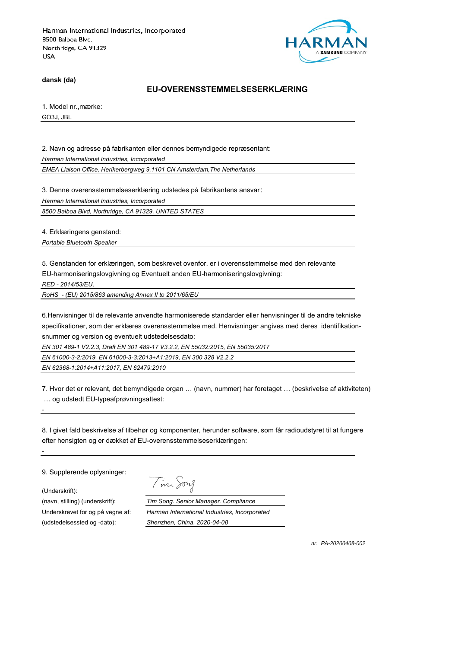

**dansk (da)**

#### **EU-OVERENSSTEMMELSESERKLÆRING**

1. Model nr.,mærke:

GO3J, JBL

2. Navn og adresse på fabrikanten eller dennes bemyndigede repræsentant:

*Harman International Industries, Incorporated*

*EMEA Liaison Office, Herikerbergweg 9,1101 CN Amsterdam,The Netherlands*

3. Denne overensstemmelseserklæring udstedes på fabrikantens ansvar:

*Harman International Industries, Incorporated*

*8500 Balboa Blvd, Northridge, CA 91329, UNITED STATES*

4. Erklæringens genstand:

*Portable Bluetooth Speaker*

5. Genstanden for erklæringen, som beskrevet ovenfor, er i overensstemmelse med den relevante EU-harmoniseringslovgivning og Eventuelt anden EU-harmoniseringslovgivning:

*RED - 2014/53/EU,*

*RoHS - (EU) 2015/863 amending Annex II to 2011/65/EU*

6.Henvisninger til de relevante anvendte harmoniserede standarder eller henvisninger til de andre tekniske specifikationer, som der erklæres overensstemmelse med. Henvisninger angives med deres identifikationsnummer og version og eventuelt udstedelsesdato:

*EN 301 489-1 V2.2.3, Draft EN 301 489-17 V3.2.2, EN 55032:2015, EN 55035:2017*

*EN 61000-3-2:2019, EN 61000-3-3:2013+A1:2019, EN 300 328 V2.2.2*

*EN 62368-1:2014+A11:2017, EN 62479:2010*

7. Hvor det er relevant, det bemyndigede organ … (navn, nummer) har foretaget … (beskrivelse af aktiviteten) … og udstedt EU-typeafprøvningsattest:

8. I givet fald beskrivelse af tilbehør og komponenter, herunder software, som får radioudstyret til at fungere efter hensigten og er dækket af EU-overensstemmelseserklæringen:

9. Supplerende oplysninger:

(Underskrift):

*-*

*-*

(udstedelsessted og -dato): *Shenzhen, China. 2020-04-08*

Tim Song

(navn, stilling) (underskrift): *Tim Song. Senior Manager. Compliance* Underskrevet for og på vegne af: *Harman International Industries, Incorporated*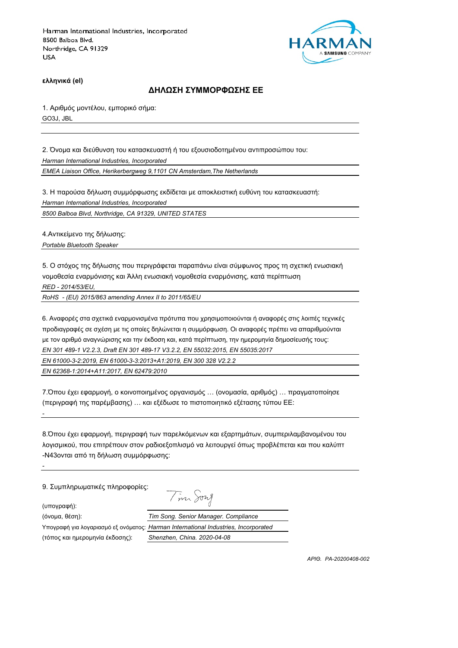

**ελληνικά (el)**

#### **ΔΗΛΩΣΗ ΣΥΜΜΟΡΦΩΣΗΣ ΕΕ**

1. Αριθμός μοντέλου, εμπορικό σήμα: GO3J, JBL

2. Όνομα και διεύθυνση του κατασκευαστή ή του εξουσιοδοτημένου αντιπροσώπου του: *Harman International Industries, Incorporated*

*EMEA Liaison Office, Herikerbergweg 9,1101 CN Amsterdam,The Netherlands*

3. Η παρούσα δήλωση συμμόρφωσης εκδίδεται με αποκλειστική ευθύνη του κατασκευαστή:

*Harman International Industries, Incorporated*

*8500 Balboa Blvd, Northridge, CA 91329, UNITED STATES*

4.Αντικείμενο της δήλωσης:

*Portable Bluetooth Speaker*

5. Ο στόχος της δήλωσης που περιγράφεται παραπάνω είναι σύμφωνος προς τη σχετική ενωσιακή νομοθεσία εναρμόνισης και Άλλη ενωσιακή νομοθεσία εναρμόνισης, κατά περίπτωση *RED - 2014/53/EU,*

*RoHS - (EU) 2015/863 amending Annex II to 2011/65/EU*

6. Αναφορές στα σχετικά εναρμονισμένα πρότυπα που χρησιμοποιούνται ή αναφορές στις λοιπές τεχνικές προδιαγραφές σε σχέση με τις οποίες δηλώνεται η συμμόρφωση. Οι αναφορές πρέπει να απαριθμούνται με τον αριθμό αναγνώρισης και την έκδοση και, κατά περίπτωση, την ημερομηνία δημοσίευσής τους: *EN 301 489-1 V2.2.3, Draft EN 301 489-17 V3.2.2, EN 55032:2015, EN 55035:2017 EN 61000-3-2:2019, EN 61000-3-3:2013+A1:2019, EN 300 328 V2.2.2*

*EN 62368-1:2014+A11:2017, EN 62479:2010*

7.Όπου έχει εφαρμογή, ο κοινοποιημένος οργανισμός … (ονομασία, αριθμός) … πραγματοποίησε (περιγραφή της παρέμβασης) … και εξέδωσε το πιστοποιητικό εξέτασης τύπου ΕΕ:

8.Όπου έχει εφαρμογή, περιγραφή των παρελκόμενων και εξαρτημάτων, συμπεριλαμβανομένου του λογισμικού, που επιτρέπουν στον ραδιοεξοπλισμό να λειτουργεί όπως προβλέπεται και που καλύπτ -N43ονται από τη δήλωση συμμόρφωσης:

Tim Song

9. Συμπληρωματικές πληροφορίες:

(υπογραφή):

*-*

*-*

(τόπος και ημερομηνία έκδοσης): *Shenzhen, China. 2020-04-08*

(όνομα, θέση): *Tim Song. Senior Manager. Compliance* Υπογραφή για λογαριασμό εξ ονόματος: *Harman International Industries, Incorporated*

*ΑΡΙΘ. PA-20200408-002*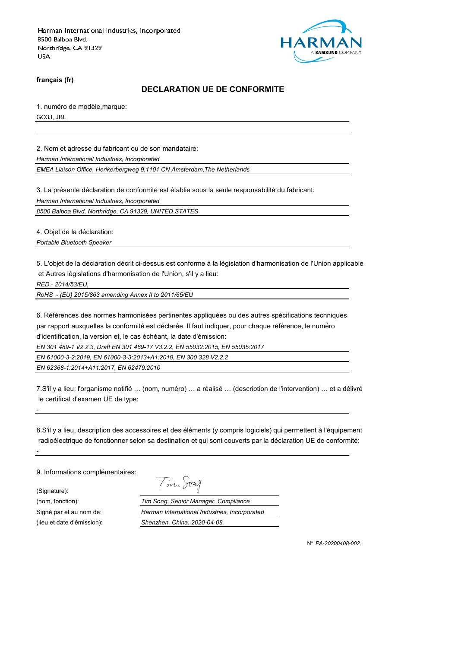

**français (fr)**

## **DECLARATION UE DE CONFORMITE**

1. numéro de modèle,marque: GO3J, JBL

2. Nom et adresse du fabricant ou de son mandataire:

*Harman International Industries, Incorporated*

*EMEA Liaison Office, Herikerbergweg 9,1101 CN Amsterdam,The Netherlands*

3. La présente déclaration de conformité est établie sous la seule responsabilité du fabricant:

*Harman International Industries, Incorporated*

*8500 Balboa Blvd, Northridge, CA 91329, UNITED STATES*

4. Objet de la déclaration:

*Portable Bluetooth Speaker*

5. L'objet de la déclaration décrit ci-dessus est conforme à la législation d'harmonisation de l'Union applicable et Autres législations d'harmonisation de l'Union, s'il y a lieu:

*RED - 2014/53/EU,*

*RoHS - (EU) 2015/863 amending Annex II to 2011/65/EU*

6. Références des normes harmonisées pertinentes appliquées ou des autres spécifications techniques par rapport auxquelles la conformité est déclarée. Il faut indiquer, pour chaque référence, le numéro d'identification, la version et, le cas échéant, la date d'émission:

*EN 301 489-1 V2.2.3, Draft EN 301 489-17 V3.2.2, EN 55032:2015, EN 55035:2017*

*EN 61000-3-2:2019, EN 61000-3-3:2013+A1:2019, EN 300 328 V2.2.2*

*EN 62368-1:2014+A11:2017, EN 62479:2010*

7.S'il y a lieu: l'organisme notifié … (nom, numéro) … a réalisé … (description de l'intervention) … et a délivré le certificat d'examen UE de type:

8.S'il y a lieu, description des accessoires et des éléments (y compris logiciels) qui permettent à l'équipement radioélectrique de fonctionner selon sa destination et qui sont couverts par la déclaration UE de conformité:

9. Informations complémentaires:

(Signature):

*-*

*-*

Tim Song

(nom, fonction): *Tim Song. Senior Manager. Compliance* Signé par et au nom de: *Harman International Industries, Incorporated* (lieu et date d'émission): *Shenzhen, China. 2020-04-08*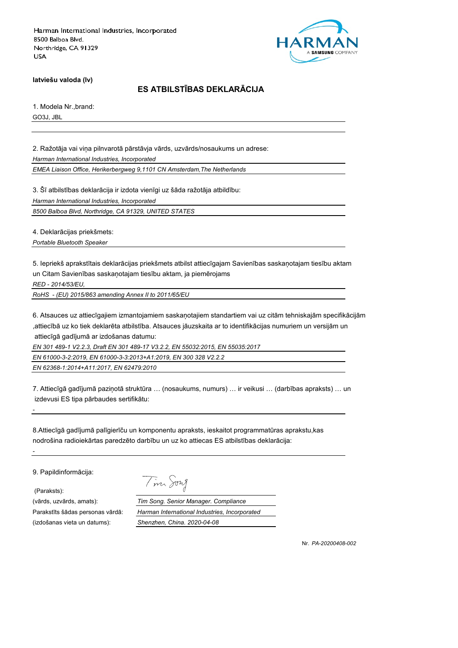

**latviešu valoda (lv)**

# **ES ATBILSTĪBAS DEKLARĀCIJA**

1. Modela Nr.,brand: GO3J, JBL

2. Ražotāja vai viņa pilnvarotā pārstāvja vārds, uzvārds/nosaukums un adrese: *Harman International Industries, Incorporated*

*EMEA Liaison Office, Herikerbergweg 9,1101 CN Amsterdam,The Netherlands*

3. Šī atbilstības deklarācija ir izdota vienīgi uz šāda ražotāja atbildību:

*Harman International Industries, Incorporated*

*8500 Balboa Blvd, Northridge, CA 91329, UNITED STATES*

4. Deklarācijas priekšmets:

*Portable Bluetooth Speaker*

5. Iepriekš aprakstītais deklarācijas priekšmets atbilst attiecīgajam Savienības saskaņotajam tiesību aktam un Citam Savienības saskaņotajam tiesību aktam, ja piemērojams

*RED - 2014/53/EU,*

*RoHS - (EU) 2015/863 amending Annex II to 2011/65/EU*

6. Atsauces uz attiecīgajiem izmantojamiem saskaņotajiem standartiem vai uz citām tehniskajām specifikācijām ,attiecībā uz ko tiek deklarēta atbilstība. Atsauces jāuzskaita ar to identifikācijas numuriem un versijām un attiecīgā gadījumā ar izdošanas datumu:

*EN 301 489-1 V2.2.3, Draft EN 301 489-17 V3.2.2, EN 55032:2015, EN 55035:2017*

*EN 61000-3-2:2019, EN 61000-3-3:2013+A1:2019, EN 300 328 V2.2.2*

*EN 62368-1:2014+A11:2017, EN 62479:2010*

7. Attiecīgā gadījumā paziņotā struktūra … (nosaukums, numurs) … ir veikusi … (darbības apraksts) … un izdevusi ES tipa pārbaudes sertifikātu:

8.Attiecīgā gadījumā palīgierīču un komponentu apraksts, ieskaitot programmatūras aprakstu,kas nodrošina radioiekārtas paredzēto darbību un uz ko attiecas ES atbilstības deklarācija:

9. Papildinformācija:

(Paraksts):

*-*

*-*

(izdošanas vieta un datums): *Shenzhen, China. 2020-04-08*

Tim Song

(vārds, uzvārds, amats): *Tim Song. Senior Manager. Compliance* Parakstīts šādas personas vārdā: *Harman International Industries, Incorporated*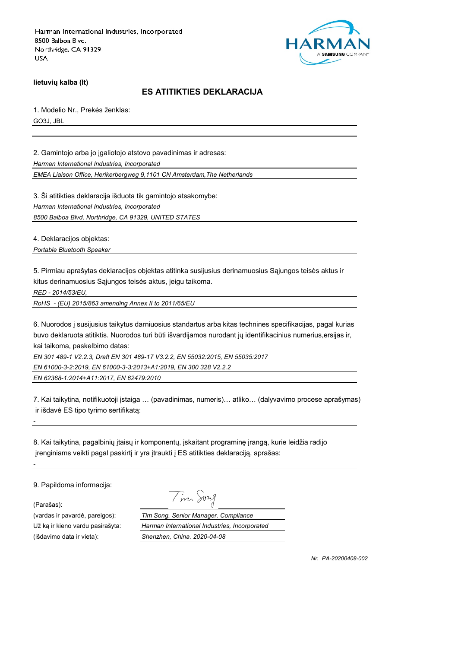

**lietuvių kalba (lt)**

## **ES ATITIKTIES DEKLARACIJA**

1. Modelio Nr., Prekės ženklas:

GO3J, JBL

2. Gamintojo arba jo įgaliotojo atstovo pavadinimas ir adresas:

*Harman International Industries, Incorporated*

*EMEA Liaison Office, Herikerbergweg 9,1101 CN Amsterdam,The Netherlands*

3. Ši atitikties deklaracija išduota tik gamintojo atsakomybe:

*Harman International Industries, Incorporated*

*8500 Balboa Blvd, Northridge, CA 91329, UNITED STATES*

4. Deklaracijos objektas:

*Portable Bluetooth Speaker*

5. Pirmiau aprašytas deklaracijos objektas atitinka susijusius derinamuosius Sąjungos teisės aktus ir kitus derinamuosius Sąjungos teisės aktus, jeigu taikoma.

*RED - 2014/53/EU,*

*RoHS - (EU) 2015/863 amending Annex II to 2011/65/EU*

6. Nuorodos į susijusius taikytus darniuosius standartus arba kitas technines specifikacijas, pagal kurias buvo deklaruota atitiktis. Nuorodos turi būti išvardijamos nurodant jų identifikacinius numerius,ersijas ir, kai taikoma, paskelbimo datas:

*EN 301 489-1 V2.2.3, Draft EN 301 489-17 V3.2.2, EN 55032:2015, EN 55035:2017*

*EN 61000-3-2:2019, EN 61000-3-3:2013+A1:2019, EN 300 328 V2.2.2*

*EN 62368-1:2014+A11:2017, EN 62479:2010*

7. Kai taikytina, notifikuotoji įstaiga … (pavadinimas, numeris)… atliko… (dalyvavimo procese aprašymas) ir išdavė ES tipo tyrimo sertifikatą:

8. Kai taikytina, pagalbinių įtaisų ir komponentų, įskaitant programinę įrangą, kurie leidžia radijo įrenginiams veikti pagal paskirtį ir yra įtraukti į ES atitikties deklaraciją, aprašas:

9. Papildoma informacija:

(Parašas):

*-*

*-*

(išdavimo data ir vieta): *Shenzhen, China. 2020-04-08*

Tim Song

(vardas ir pavardė, pareigos): *Tim Song. Senior Manager. Compliance* Už ką ir kieno vardu pasirašyta: *Harman International Industries, Incorporated*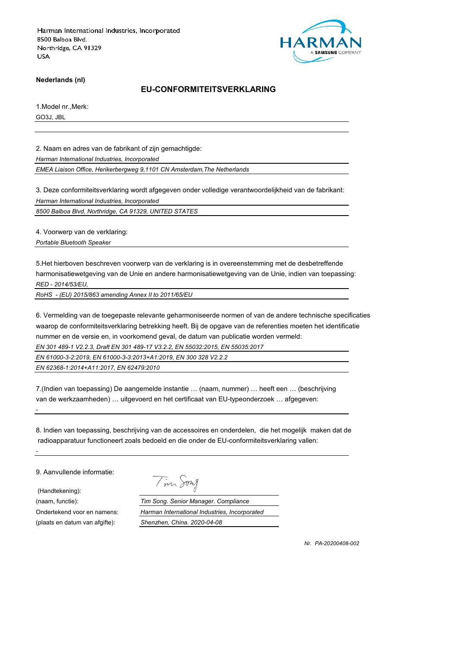

**Nederlands (nl)**

#### **EU-CONFORMITEITSVERKLARING**

1.Model nr.,Merk: GO3J, JBL

2. Naam en adres van de fabrikant of zijn gemachtigde:

*Harman International Industries, Incorporated*

*EMEA Liaison Office, Herikerbergweg 9,1101 CN Amsterdam,The Netherlands*

3. Deze conformiteitsverklaring wordt afgegeven onder volledige verantwoordelijkheid van de fabrikant: *Harman International Industries, Incorporated*

*8500 Balboa Blvd, Northridge, CA 91329, UNITED STATES*

4. Voorwerp van de verklaring:

*Portable Bluetooth Speaker*

5.Het hierboven beschreven voorwerp van de verklaring is in overeenstemming met de desbetreffende harmonisatiewetgeving van de Unie en andere harmonisatiewetgeving van de Unie, indien van toepassing: *RED - 2014/53/EU,*

*RoHS - (EU) 2015/863 amending Annex II to 2011/65/EU*

6. Vermelding van de toegepaste relevante geharmoniseerde normen of van de andere technische specificaties waarop de conformiteitsverklaring betrekking heeft. Bij de opgave van de referenties moeten het identificatie nummer en de versie en, in voorkomend geval, de datum van publicatie worden vermeld:

*EN 301 489-1 V2.2.3, Draft EN 301 489-17 V3.2.2, EN 55032:2015, EN 55035:2017*

*EN 61000-3-2:2019, EN 61000-3-3:2013+A1:2019, EN 300 328 V2.2.2*

*EN 62368-1:2014+A11:2017, EN 62479:2010*

7.(Indien van toepassing) De aangemelde instantie … (naam, nummer) … heeft een … (beschrijving van de werkzaamheden) … uitgevoerd en het certificaat van EU-typeonderzoek … afgegeven:

8. Indien van toepassing, beschrijving van de accessoires en onderdelen, die het mogelijk maken dat de radioapparatuur functioneert zoals bedoeld en die onder de EU-conformiteitsverklaring vallen:

9. Aanvullende informatie:

(Handtekening):

*-*

*-*

Tim Song

(naam, functie): *Tim Song. Senior Manager. Compliance* Ondertekend voor en namens: *Harman International Industries, Incorporated* (plaats en datum van afgifte): *Shenzhen, China. 2020-04-08*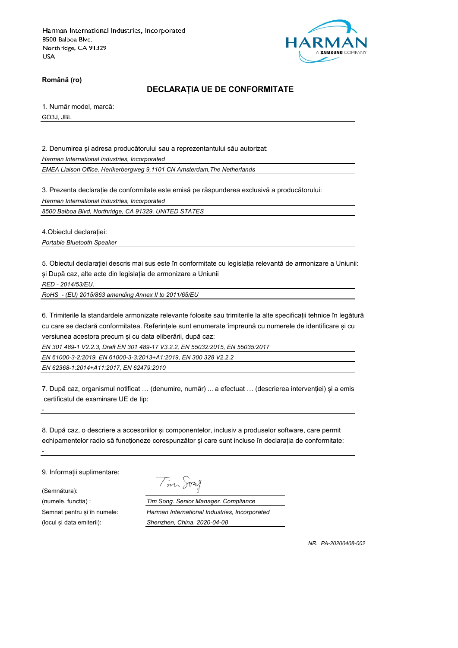

**Română (ro)**

#### **DECLARAȚIA UE DE CONFORMITATE**

1. Număr model, marcă:

GO3J, JBL

2. Denumirea și adresa producătorului sau a reprezentantului său autorizat: *Harman International Industries, Incorporated*

*EMEA Liaison Office, Herikerbergweg 9,1101 CN Amsterdam,The Netherlands*

3. Prezenta declarație de conformitate este emisă pe răspunderea exclusivă a producătorului:

*Harman International Industries, Incorporated*

*8500 Balboa Blvd, Northridge, CA 91329, UNITED STATES*

4.Obiectul declarației:

*Portable Bluetooth Speaker*

5. Obiectul declarației descris mai sus este în conformitate cu legislația relevantă de armonizare a Uniunii: și După caz, alte acte din legislația de armonizare a Uniunii

*RED - 2014/53/EU,*

*RoHS - (EU) 2015/863 amending Annex II to 2011/65/EU*

6. Trimiterile la standardele armonizate relevante folosite sau trimiterile la alte specificații tehnice în legătură cu care se declară conformitatea. Referințele sunt enumerate împreună cu numerele de identificare și cu versiunea acestora precum și cu data eliberării, după caz:

*EN 301 489-1 V2.2.3, Draft EN 301 489-17 V3.2.2, EN 55032:2015, EN 55035:2017*

*EN 61000-3-2:2019, EN 61000-3-3:2013+A1:2019, EN 300 328 V2.2.2*

*EN 62368-1:2014+A11:2017, EN 62479:2010*

7. După caz, organismul notificat … (denumire, număr) ... a efectuat … (descrierea intervenției) și a emis certificatul de examinare UE de tip:

8. După caz, o descriere a accesoriilor și componentelor, inclusiv a produselor software, care permit echipamentelor radio să funcționeze corespunzător și care sunt incluse în declarația de conformitate:

9. Informații suplimentare:

(Semnătura):

*-*

*-*

Tim Song

(numele, funcția) : *Tim Song. Senior Manager. Compliance* Semnat pentru și în numele: *Harman International Industries, Incorporated* (locul și data emiterii): *Shenzhen, China. 2020-04-08*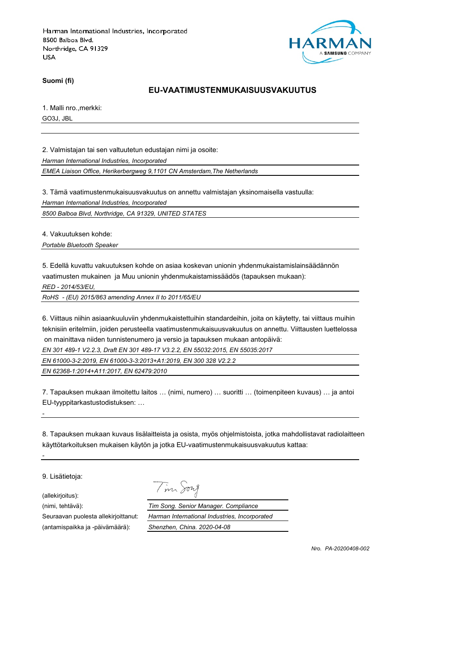

**Suomi (fi)**

#### **EU-VAATIMUSTENMUKAISUUSVAKUUTUS**

1. Malli nro.,merkki:

GO3J, JBL

2. Valmistajan tai sen valtuutetun edustajan nimi ja osoite:

*Harman International Industries, Incorporated*

*EMEA Liaison Office, Herikerbergweg 9,1101 CN Amsterdam,The Netherlands*

3. Tämä vaatimustenmukaisuusvakuutus on annettu valmistajan yksinomaisella vastuulla:

*Harman International Industries, Incorporated*

*8500 Balboa Blvd, Northridge, CA 91329, UNITED STATES*

4. Vakuutuksen kohde:

*Portable Bluetooth Speaker*

5. Edellä kuvattu vakuutuksen kohde on asiaa koskevan unionin yhdenmukaistamislainsäädännön vaatimusten mukainen ja Muu unionin yhdenmukaistamissäädös (tapauksen mukaan):

*RED - 2014/53/EU,*

*RoHS - (EU) 2015/863 amending Annex II to 2011/65/EU*

6. Viittaus niihin asiaankuuluviin yhdenmukaistettuihin standardeihin, joita on käytetty, tai viittaus muihin teknisiin eritelmiin, joiden perusteella vaatimustenmukaisuusvakuutus on annettu. Viittausten luettelossa on mainittava niiden tunnistenumero ja versio ja tapauksen mukaan antopäivä:

*EN 301 489-1 V2.2.3, Draft EN 301 489-17 V3.2.2, EN 55032:2015, EN 55035:2017*

*EN 61000-3-2:2019, EN 61000-3-3:2013+A1:2019, EN 300 328 V2.2.2*

*EN 62368-1:2014+A11:2017, EN 62479:2010*

7. Tapauksen mukaan ilmoitettu laitos … (nimi, numero) … suoritti … (toimenpiteen kuvaus) … ja antoi EU-tyyppitarkastustodistuksen: …

8. Tapauksen mukaan kuvaus lisälaitteista ja osista, myös ohjelmistoista, jotka mahdollistavat radiolaitteen käyttötarkoituksen mukaisen käytön ja jotka EU-vaatimustenmukaisuusvakuutus kattaa:

9. Lisätietoja:

*-*

*-*

(allekirjoitus):

Tim Song

(nimi, tehtävä): *Tim Song. Senior Manager. Compliance* Seuraavan puolesta allekirjoittanut: *Harman International Industries, Incorporated* (antamispaikka ja -päivämäärä): *Shenzhen, China. 2020-04-08*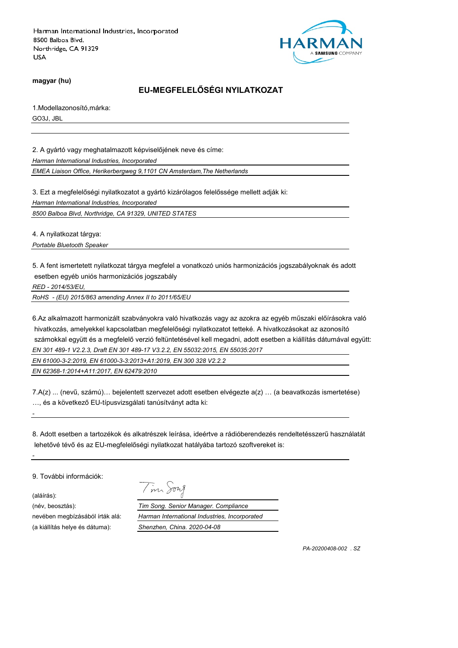

**magyar (hu)**

# **EU-MEGFELELŐSÉGI NYILATKOZAT**

1.Modellazonosító,márka: GO3J, JBL

2. A gyártó vagy meghatalmazott képviselőjének neve és címe: *Harman International Industries, Incorporated*

*EMEA Liaison Office, Herikerbergweg 9,1101 CN Amsterdam,The Netherlands*

3. Ezt a megfelelőségi nyilatkozatot a gyártó kizárólagos felelőssége mellett adják ki:

*Harman International Industries, Incorporated*

*8500 Balboa Blvd, Northridge, CA 91329, UNITED STATES*

4. A nyilatkozat tárgya:

*Portable Bluetooth Speaker*

5. A fent ismertetett nyilatkozat tárgya megfelel a vonatkozó uniós harmonizációs jogszabályoknak és adott esetben egyéb uniós harmonizációs jogszabály

*RED - 2014/53/EU,*

*RoHS - (EU) 2015/863 amending Annex II to 2011/65/EU*

6.Az alkalmazott harmonizált szabványokra való hivatkozás vagy az azokra az egyéb műszaki előírásokra való hivatkozás, amelyekkel kapcsolatban megfelelőségi nyilatkozatot tetteké. A hivatkozásokat az azonosító számokkal együtt és a megfelelő verzió feltüntetésével kell megadni, adott esetben a kiállítás dátumával együtt: *EN 301 489-1 V2.2.3, Draft EN 301 489-17 V3.2.2, EN 55032:2015, EN 55035:2017*

*EN 61000-3-2:2019, EN 61000-3-3:2013+A1:2019, EN 300 328 V2.2.2*

*EN 62368-1:2014+A11:2017, EN 62479:2010*

7.A(z) ... (nevű, számú)… bejelentett szervezet adott esetben elvégezte a(z) … (a beavatkozás ismertetése) …, és a következő EU-típusvizsgálati tanúsítványt adta ki:

8. Adott esetben a tartozékok és alkatrészek leírása, ideértve a rádióberendezés rendeltetésszerű használatát lehetővé tévő és az EU-megfelelőségi nyilatkozat hatályába tartozó szoftvereket is:

9. További információk:

(aláírás):

*-*

*-*

(a kiállítás helye és dátuma): *Shenzhen, China. 2020-04-08*

Tim Song

(név, beosztás): *Tim Song. Senior Manager. Compliance* nevében megbízásából írták alá: *Harman International Industries, Incorporated*

*PA-20200408-002 . SZ*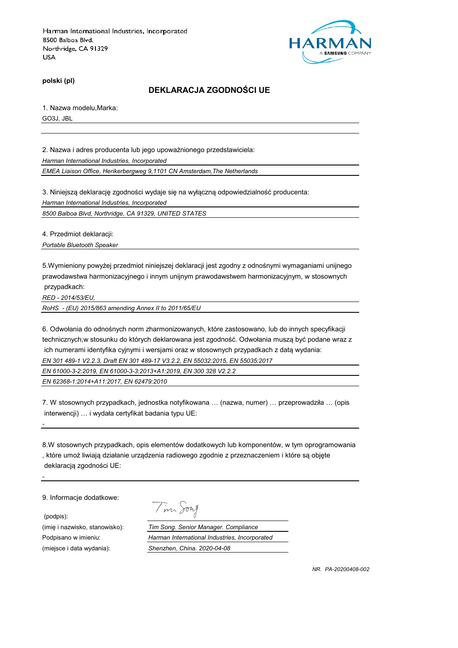

**polski (pl)**

## **DEKLARACJA ZGODNOŚCI UE**

1. Nazwa modelu,Marka: GO3J, JBL

2. Nazwa i adres producenta lub jego upoważnionego przedstawiciela: *Harman International Industries, Incorporated*

*EMEA Liaison Office, Herikerbergweg 9,1101 CN Amsterdam,The Netherlands*

3. Niniejszą deklarację zgodności wydaje się na wyłączną odpowiedzialność producenta:

*Harman International Industries, Incorporated*

*8500 Balboa Blvd, Northridge, CA 91329, UNITED STATES*

4. Przedmiot deklaracji:

*Portable Bluetooth Speaker*

5.Wymieniony powyżej przedmiot niniejszej deklaracji jest zgodny z odnośnymi wymaganiami unijnego prawodawstwa harmonizacyjnego i innym unijnym prawodawstwem harmonizacyjnym, w stosownych przypadkach:

*RED - 2014/53/EU,*

*-*

*-*

*RoHS - (EU) 2015/863 amending Annex II to 2011/65/EU*

6. Odwołania do odnośnych norm zharmonizowanych, które zastosowano, lub do innych specyfikacji technicznych,w stosunku do których deklarowana jest zgodność. Odwołania muszą być podane wraz z ich numerami identyfika cyjnymi i wersjami oraz w stosownych przypadkach z datą wydania: *EN 301 489-1 V2.2.3, Draft EN 301 489-17 V3.2.2, EN 55032:2015, EN 55035:2017*

*EN 61000-3-2:2019, EN 61000-3-3:2013+A1:2019, EN 300 328 V2.2.2*

*EN 62368-1:2014+A11:2017, EN 62479:2010*

7. W stosownych przypadkach, jednostka notyfikowana … (nazwa, numer) … przeprowadziła … (opis interwencji) … i wydała certyfikat badania typu UE:

8.W stosownych przypadkach, opis elementów dodatkowych lub komponentów, w tym oprogramowania , które umoż liwiają działanie urządzenia radiowego zgodnie z przeznaczeniem i które są objęte deklaracją zgodności UE:

9. Informacie dodatkowe:

 (podpis): (miejsce i data wydania): *Shenzhen, China. 2020-04-08*

Tim Song

(imię i nazwisko, stanowisko): *Tim Song. Senior Manager. Compliance*

Podpisano w imieniu: *Harman International Industries, Incorporated*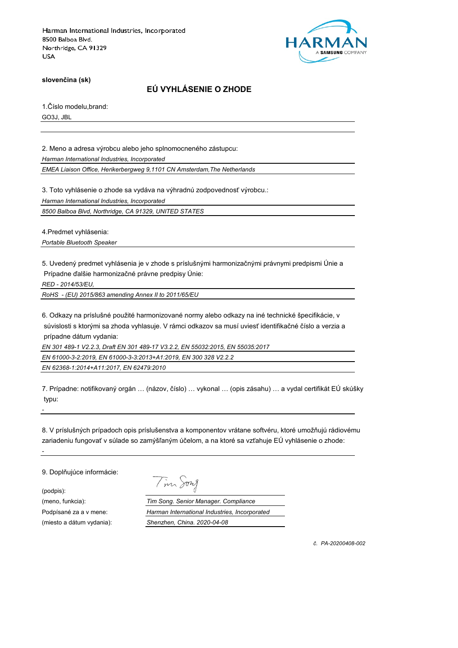

**slovenčina (sk)**

## **EÚ VYHLÁSENIE O ZHODE**

1.Číslo modelu,brand: GO3J, JBL

2. Meno a adresa výrobcu alebo jeho splnomocneného zástupcu:

*Harman International Industries, Incorporated*

*EMEA Liaison Office, Herikerbergweg 9,1101 CN Amsterdam,The Netherlands*

3. Toto vyhlásenie o zhode sa vydáva na výhradnú zodpovednosť výrobcu.:

*Harman International Industries, Incorporated*

*8500 Balboa Blvd, Northridge, CA 91329, UNITED STATES*

4.Predmet vyhlásenia:

*Portable Bluetooth Speaker*

5. Uvedený predmet vyhlásenia je v zhode s príslušnými harmonizačnými právnymi predpismi Únie a Prípadne ďalšie harmonizačné právne predpisy Únie:

*RED - 2014/53/EU,*

*RoHS - (EU) 2015/863 amending Annex II to 2011/65/EU*

6. Odkazy na príslušné použité harmonizované normy alebo odkazy na iné technické špecifikácie, v súvislosti s ktorými sa zhoda vyhlasuje. V rámci odkazov sa musí uviesť identifikačné číslo a verzia a prípadne dátum vydania:

*EN 301 489-1 V2.2.3, Draft EN 301 489-17 V3.2.2, EN 55032:2015, EN 55035:2017*

*EN 61000-3-2:2019, EN 61000-3-3:2013+A1:2019, EN 300 328 V2.2.2*

*EN 62368-1:2014+A11:2017, EN 62479:2010*

7. Prípadne: notifikovaný orgán … (názov, číslo) … vykonal … (opis zásahu) … a vydal certifikát EÚ skúšky typu:

8. V príslušných prípadoch opis príslušenstva a komponentov vrátane softvéru, ktoré umožňujú rádiovému zariadeniu fungovať v súlade so zamýšľaným účelom, a na ktoré sa vzťahuje EÚ vyhlásenie o zhode:

9. Doplňujúce informácie:

(podpis):

*-*

*-*

Tim Song

(meno, funkcia): *Tim Song. Senior Manager. Compliance* Podpísané za a v mene: *Harman International Industries, Incorporated* (miesto a dátum vydania): *Shenzhen, China. 2020-04-08*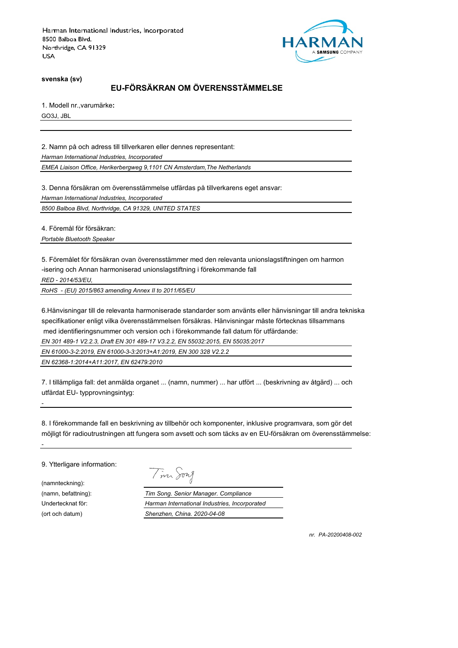

**svenska (sv)**

# **EU-FÖRSÄKRAN OM ÖVERENSSTÄMMELSE**

1. Modell nr.,varumärke**:** GO3J, JBL

2. Namn på och adress till tillverkaren eller dennes representant:

*Harman International Industries, Incorporated*

*EMEA Liaison Office, Herikerbergweg 9,1101 CN Amsterdam,The Netherlands*

3. Denna försäkran om överensstämmelse utfärdas på tillverkarens eget ansvar:

*Harman International Industries, Incorporated*

*8500 Balboa Blvd, Northridge, CA 91329, UNITED STATES*

4. Föremål för försäkran:

*Portable Bluetooth Speaker*

5. Föremålet för försäkran ovan överensstämmer med den relevanta unionslagstiftningen om harmon -isering och Annan harmoniserad unionslagstiftning i förekommande fall

*RED - 2014/53/EU,*

*RoHS - (EU) 2015/863 amending Annex II to 2011/65/EU*

6.Hänvisningar till de relevanta harmoniserade standarder som använts eller hänvisningar till andra tekniska specifikationer enligt vilka överensstämmelsen försäkras. Hänvisningar måste förtecknas tillsammans med identifieringsnummer och version och i förekommande fall datum för utfärdande:

*EN 301 489-1 V2.2.3, Draft EN 301 489-17 V3.2.2, EN 55032:2015, EN 55035:2017*

*EN 61000-3-2:2019, EN 61000-3-3:2013+A1:2019, EN 300 328 V2.2.2*

*EN 62368-1:2014+A11:2017, EN 62479:2010*

7. I tillämpliga fall: det anmälda organet ... (namn, nummer) ... har utfört ... (beskrivning av åtgärd) ... och utfärdat EU- typprovningsintyg:

8. I förekommande fall en beskrivning av tillbehör och komponenter, inklusive programvara, som gör det möjligt för radioutrustningen att fungera som avsett och som täcks av en EU-försäkran om överensstämmelse:

9. Ytterligare information:

(namnteckning):

*-*

*-*

Tim Song

(namn, befattning): *Tim Song. Senior Manager. Compliance* Undertecknat för: *Harman International Industries, Incorporated* (ort och datum) *Shenzhen, China. 2020-04-08*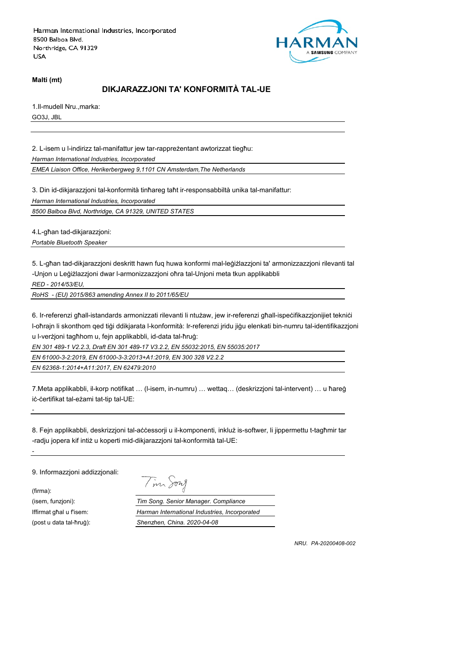

**Malti (mt)**

# **DIKJARAZZJONI TA' KONFORMITÀ TAL-UE**

1.Il-mudell Nru.,marka:

GO3J, JBL

2. L-isem u l-indirizz tal-manifattur jew tar-rappreżentant awtorizzat tiegħu:

*Harman International Industries, Incorporated*

*EMEA Liaison Office, Herikerbergweg 9,1101 CN Amsterdam,The Netherlands*

3. Din id-dikjarazzjoni tal-konformità tinħareg taħt ir-responsabbiltà unika tal-manifattur:

*Harman International Industries, Incorporated*

*8500 Balboa Blvd, Northridge, CA 91329, UNITED STATES*

4.L-għan tad-dikjarazzjoni:

*Portable Bluetooth Speaker*

5. L-għan tad-dikjarazzjoni deskritt hawn fuq huwa konformi mal-leġiżlazzjoni ta' armonizzazzjoni rilevanti tal -Unjon u Leġiżlazzjoni dwar l-armonizzazzjoni oħra tal-Unjoni meta tkun applikabbli

*RED - 2014/53/EU,*

*RoHS - (EU) 2015/863 amending Annex II to 2011/65/EU*

6. Ir-referenzi għall-istandards armonizzati rilevanti li ntużaw, jew ir-referenzi għall-ispeċifikazzjonijiet tekniċi l-oħrajn li skonthom qed tiġi ddikjarata l-konformità: Ir-referenzi jridu jiġu elenkati bin-numru tal-identifikazzjoni u l-verżjoni tagħhom u, fejn applikabbli, id-data tal-ħruġ:

*EN 301 489-1 V2.2.3, Draft EN 301 489-17 V3.2.2, EN 55032:2015, EN 55035:2017*

*EN 61000-3-2:2019, EN 61000-3-3:2013+A1:2019, EN 300 328 V2.2.2*

*EN 62368-1:2014+A11:2017, EN 62479:2010*

7.Meta applikabbli, il-korp notifikat … (l-isem, in-numru) … wettaq… (deskrizzjoni tal-intervent) … u ħareġ iċ-ċertifikat tal-eżami tat-tip tal-UE:

8. Fejn applikabbli, deskrizzjoni tal-aċċessorji u il-komponenti, inkluż is-softwer, li jippermettu t-tagħmir tar -radju jopera kif intiż u koperti mid-dikjarazzjoni tal-konformità tal-UE:

9. Informazzjoni addizzjonali:

(firma):

*-*

*-*

Tim Song

(isem, funzjoni): *Tim Song. Senior Manager. Compliance* Iffirmat għal u f'isem: *Harman International Industries, Incorporated* (post u data tal-ħruġ): *Shenzhen, China. 2020-04-08*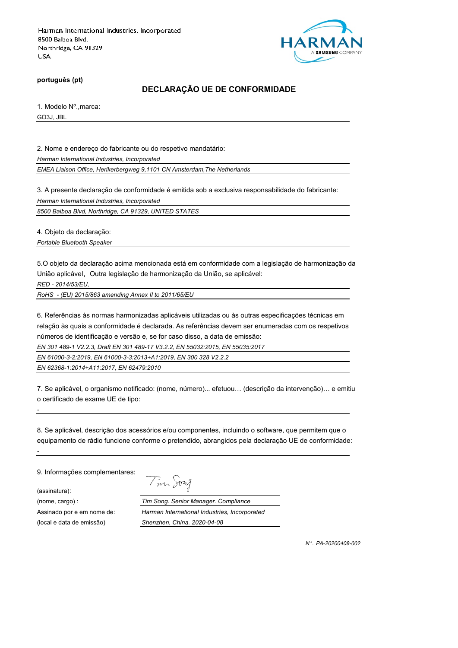

**português (pt)**

## **DECLARAÇÃO UE DE CONFORMIDADE**

1. Modelo Nº.,marca: GO3J, JBL

2. Nome e endereço do fabricante ou do respetivo mandatário:

*Harman International Industries, Incorporated*

*EMEA Liaison Office, Herikerbergweg 9,1101 CN Amsterdam,The Netherlands*

3. A presente declaração de conformidade é emitida sob a exclusiva responsabilidade do fabricante:

*Harman International Industries, Incorporated*

*8500 Balboa Blvd, Northridge, CA 91329, UNITED STATES*

4. Objeto da declaração:

*Portable Bluetooth Speaker*

5.O objeto da declaração acima mencionada está em conformidade com a legislação de harmonização da União aplicável, Outra legislação de harmonização da União, se aplicável:

*RED - 2014/53/EU,*

*RoHS - (EU) 2015/863 amending Annex II to 2011/65/EU*

6. Referências às normas harmonizadas aplicáveis utilizadas ou às outras especificações técnicas em relação às quais a conformidade é declarada. As referências devem ser enumeradas com os respetivos números de identificação e versão e, se for caso disso, a data de emissão:

*EN 301 489-1 V2.2.3, Draft EN 301 489-17 V3.2.2, EN 55032:2015, EN 55035:2017*

*EN 61000-3-2:2019, EN 61000-3-3:2013+A1:2019, EN 300 328 V2.2.2*

*EN 62368-1:2014+A11:2017, EN 62479:2010*

7. Se aplicável, o organismo notificado: (nome, número)... efetuou… (descrição da intervenção)… e emitiu o certificado de exame UE de tipo:

8. Se aplicável, descrição dos acessórios e/ou componentes, incluindo o software, que permitem que o equipamento de rádio funcione conforme o pretendido, abrangidos pela declaração UE de conformidade:

9. Informações complementares:

(assinatura):

*-*

*-*

Tim Song

(nome, cargo) : *Tim Song. Senior Manager. Compliance* Assinado por e em nome de: *Harman International Industries, Incorporated* (local e data de emissão) *Shenzhen, China. 2020-04-08*